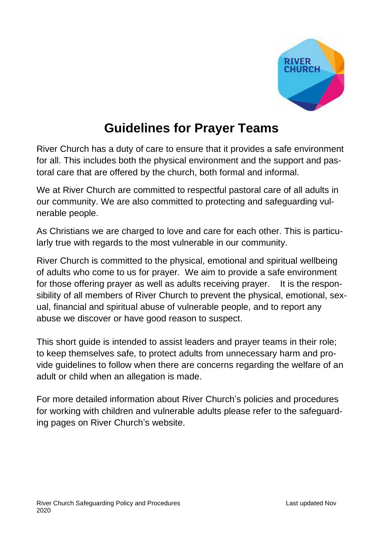

# **Guidelines for Prayer Teams**

River Church has a duty of care to ensure that it provides a safe environment for all. This includes both the physical environment and the support and pastoral care that are offered by the church, both formal and informal.

We at River Church are committed to respectful pastoral care of all adults in our community. We are also committed to protecting and safeguarding vulnerable people.

As Christians we are charged to love and care for each other. This is particularly true with regards to the most vulnerable in our community.

River Church is committed to the physical, emotional and spiritual wellbeing of adults who come to us for prayer. We aim to provide a safe environment for those offering prayer as well as adults receiving prayer. It is the responsibility of all members of River Church to prevent the physical, emotional, sexual, financial and spiritual abuse of vulnerable people, and to report any abuse we discover or have good reason to suspect.

This short guide is intended to assist leaders and prayer teams in their role; to keep themselves safe, to protect adults from unnecessary harm and provide guidelines to follow when there are concerns regarding the welfare of an adult or child when an allegation is made.

For more detailed information about River Church's policies and procedures for working with children and vulnerable adults please refer to the safeguarding pages on River Church's website.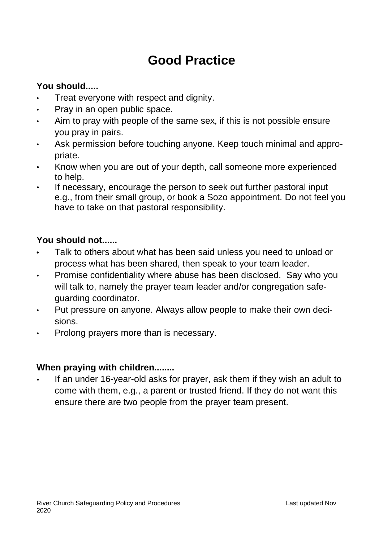# **Good Practice**

## **You should.....**

- Treat everyone with respect and dignity.
- Pray in an open public space.
- Aim to pray with people of the same sex, if this is not possible ensure you pray in pairs.
- Ask permission before touching anyone. Keep touch minimal and appropriate.
- Know when you are out of your depth, call someone more experienced to help.
- If necessary, encourage the person to seek out further pastoral input e.g., from their small group, or book a Sozo appointment. Do not feel you have to take on that pastoral responsibility.

## **You should not......**

- **•** Talk to others about what has been said unless you need to unload or process what has been shared, then speak to your team leader.
- Promise confidentiality where abuse has been disclosed. Say who you will talk to, namely the prayer team leader and/or congregation safeguarding coordinator.
- Put pressure on anyone. Always allow people to make their own decisions.
- Prolong prayers more than is necessary.

## **When praying with children........**

• If an under 16-year-old asks for prayer, ask them if they wish an adult to come with them, e.g., a parent or trusted friend. If they do not want this ensure there are two people from the prayer team present.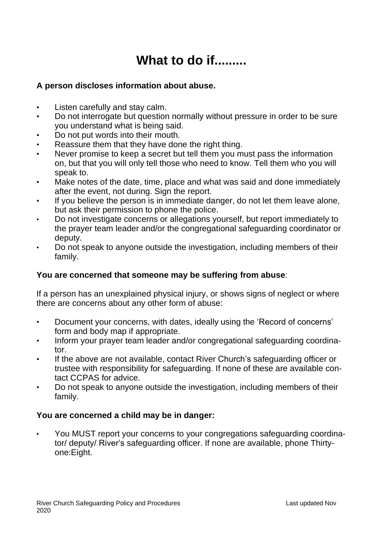# **What to do if.........**

### **A person discloses information about abuse.**

- Listen carefully and stay calm.
- Do not interrogate but question normally without pressure in order to be sure you understand what is being said.
- Do not put words into their mouth.
- Reassure them that they have done the right thing.
- Never promise to keep a secret but tell them you must pass the information on, but that you will only tell those who need to know. Tell them who you will speak to.
- Make notes of the date, time, place and what was said and done immediately after the event, not during. Sign the report.
- If you believe the person is in immediate danger, do not let them leave alone, but ask their permission to phone the police.
- Do not investigate concerns or allegations yourself, but report immediately to the prayer team leader and/or the congregational safeguarding coordinator or deputy.
- Do not speak to anyone outside the investigation, including members of their family.

### **You are concerned that someone may be suffering from abuse**:

If a person has an unexplained physical injury, or shows signs of neglect or where there are concerns about any other form of abuse:

- Document your concerns, with dates, ideally using the 'Record of concerns' form and body map if appropriate.
- Inform your prayer team leader and/or congregational safeguarding coordinator.
- If the above are not available, contact River Church's safeguarding officer or trustee with responsibility for safeguarding. If none of these are available contact CCPAS for advice.
- Do not speak to anyone outside the investigation, including members of their family.

### **You are concerned a child may be in danger:**

• You MUST report your concerns to your congregations safeguarding coordinator/ deputy/ River's safeguarding officer. If none are available, phone Thirtyone:Eight.